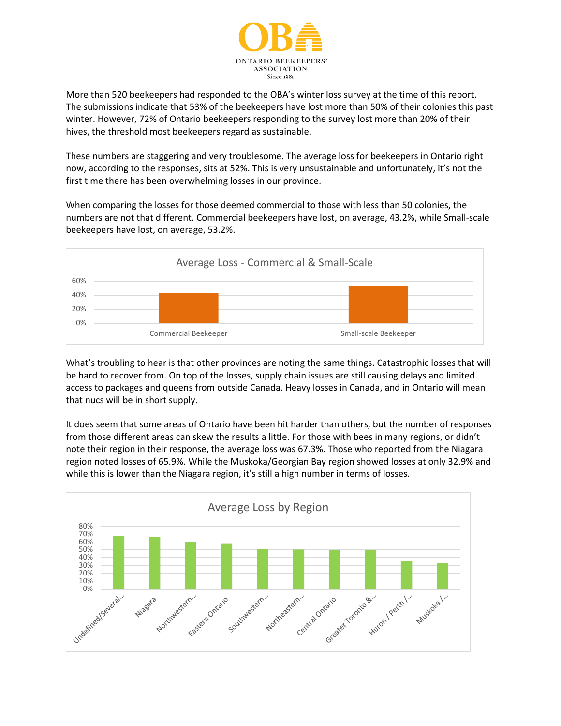

More than 520 beekeepers had responded to the OBA's winter loss survey at the time of this report. The submissions indicate that 53% of the beekeepers have lost more than 50% of their colonies this past winter. However, 72% of Ontario beekeepers responding to the survey lost more than 20% of their hives, the threshold most beekeepers regard as sustainable.

These numbers are staggering and very troublesome. The average loss for beekeepers in Ontario right now, according to the responses, sits at 52%. This is very unsustainable and unfortunately, it's not the first time there has been overwhelming losses in our province.

When comparing the losses for those deemed commercial to those with less than 50 colonies, the numbers are not that different. Commercial beekeepers have lost, on average, 43.2%, while Small-scale beekeepers have lost, on average, 53.2%.



What's troubling to hear is that other provinces are noting the same things. Catastrophic losses that will be hard to recover from. On top of the losses, supply chain issues are still causing delays and limited access to packages and queens from outside Canada. Heavy losses in Canada, and in Ontario will mean that nucs will be in short supply.

It does seem that some areas of Ontario have been hit harder than others, but the number of responses from those different areas can skew the results a little. For those with bees in many regions, or didn't note their region in their response, the average loss was 67.3%. Those who reported from the Niagara region noted losses of 65.9%. While the Muskoka/Georgian Bay region showed losses at only 32.9% and while this is lower than the Niagara region, it's still a high number in terms of losses.

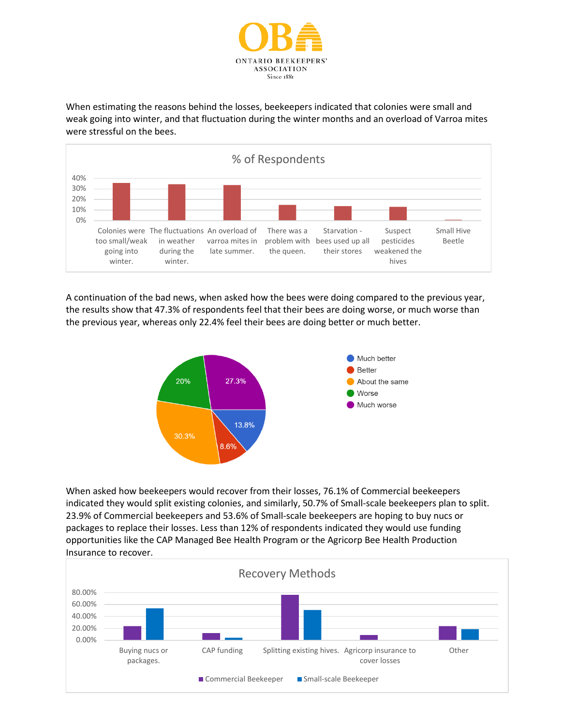

When estimating the reasons behind the losses, beekeepers indicated that colonies were small and weak going into winter, and that fluctuation during the winter months and an overload of Varroa mites were stressful on the bees.



A continuation of the bad news, when asked how the bees were doing compared to the previous year, the results show that 47.3% of respondents feel that their bees are doing worse, or much worse than the previous year, whereas only 22.4% feel their bees are doing better or much better.



When asked how beekeepers would recover from their losses, 76.1% of Commercial beekeepers indicated they would split existing colonies, and similarly, 50.7% of Small-scale beekeepers plan to split. 23.9% of Commercial beekeepers and 53.6% of Small-scale beekeepers are hoping to buy nucs or packages to replace their losses. Less than 12% of respondents indicated they would use funding opportunities like the CAP Managed Bee Health Program or the Agricorp Bee Health Production Insurance to recover.